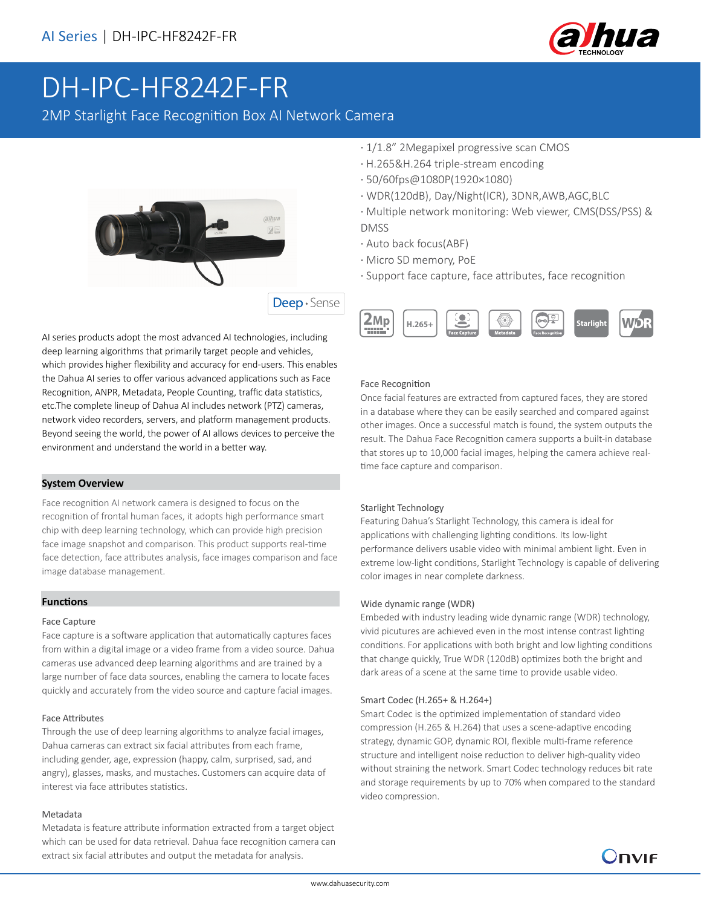

# DH-IPC-HF8242F-FR

2MP Starlight Face Recognition Box AI Network Camera



AI series products adopt the most advanced AI technologies, including deep learning algorithms that primarily target people and vehicles, which provides higher flexibility and accuracy for end-users. This enables the Dahua AI series to offer various advanced applications such as Face Recognition, ANPR, Metadata, People Counting, traffic data statistics, etc.The complete lineup of Dahua AI includes network (PTZ) cameras, network video recorders, servers, and platform management products. Beyond seeing the world, the power of AI allows devices to perceive the environment and understand the world in a better way.

#### **System Overview**

Face recognition AI network camera is designed to focus on the recognition of frontal human faces, it adopts high performance smart chip with deep learning technology, which can provide high precision face image snapshot and comparison. This product supports real-time face detection, face attributes analysis, face images comparison and face image database management.

## **Functions**

#### Face Capture

Face capture is a software application that automatically captures faces from within a digital image or a video frame from a video source. Dahua cameras use advanced deep learning algorithms and are trained by a large number of face data sources, enabling the camera to locate faces quickly and accurately from the video source and capture facial images.

#### Face Attributes

Through the use of deep learning algorithms to analyze facial images, Dahua cameras can extract six facial attributes from each frame, including gender, age, expression (happy, calm, surprised, sad, and angry), glasses, masks, and mustaches. Customers can acquire data of interest via face attributes statistics.

#### Metadata

Metadata is feature attribute information extracted from a target object which can be used for data retrieval. Dahua face recognition camera can extract six facial attributes and output the metadata for analysis.

- · 1/1.8" 2Megapixel progressive scan CMOS
- · H.265&H.264 triple-stream encoding
- · 50/60fps@1080P(1920×1080)
- · WDR(120dB), Day/Night(ICR), 3DNR,AWB,AGC,BLC
- · Multiple network monitoring: Web viewer, CMS(DSS/PSS) & DMSS
- · Auto back focus(ABF)
- · Micro SD memory, PoE
- · Support face capture, face attributes, face recognition



#### Face Recognition

Once facial features are extracted from captured faces, they are stored in a database where they can be easily searched and compared against other images. Once a successful match is found, the system outputs the result. The Dahua Face Recognition camera supports a built-in database that stores up to 10,000 facial images, helping the camera achieve realtime face capture and comparison.

#### Starlight Technology

Featuring Dahua's Starlight Technology, this camera is ideal for applications with challenging lighting conditions. Its low-light performance delivers usable video with minimal ambient light. Even in extreme low-light conditions, Starlight Technology is capable of delivering color images in near complete darkness.

#### Wide dynamic range (WDR)

Embeded with industry leading wide dynamic range (WDR) technology, vivid picutures are achieved even in the most intense contrast lighting conditions. For applications with both bright and low lighting conditions that change quickly, True WDR (120dB) optimizes both the bright and dark areas of a scene at the same time to provide usable video.

#### Smart Codec (H.265+ & H.264+)

Smart Codec is the optimized implementation of standard video compression (H.265 & H.264) that uses a scene-adaptive encoding strategy, dynamic GOP, dynamic ROI, flexible multi-frame reference structure and intelligent noise reduction to deliver high-quality video without straining the network. Smart Codec technology reduces bit rate and storage requirements by up to 70% when compared to the standard video compression.

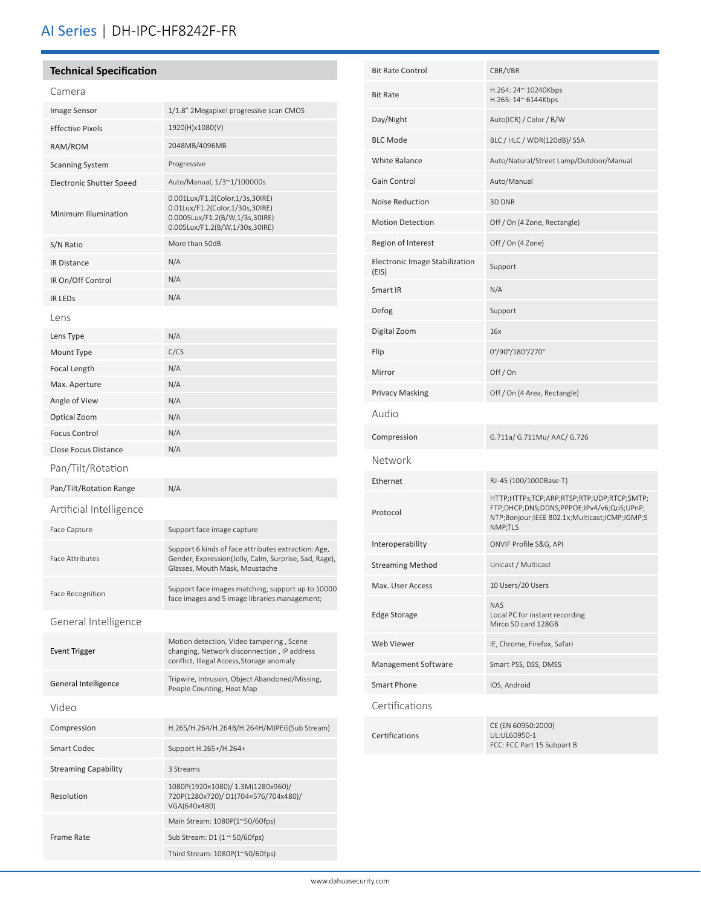# AI Series | DH-IPC-HF8242F-FR

## **Technical Specification**

# Camera

| Image Sensor                | 1/1.8" 2Megapixel progressive scan CMOS                                                                                                        |
|-----------------------------|------------------------------------------------------------------------------------------------------------------------------------------------|
| <b>Effective Pixels</b>     | 1920(H)x1080(V)                                                                                                                                |
| RAM/ROM                     | 2048MB/4096MB                                                                                                                                  |
| <b>Scanning System</b>      | Progressive                                                                                                                                    |
| Electronic Shutter Speed    | Auto/Manual, 1/3~1/100000s                                                                                                                     |
| Minimum Illumination        | 0.001Lux/F1.2(Color,1/3s,30IRE)<br>0.01Lux/F1.2(Color,1/30s,30IRE)<br>0.0005Lux/F1.2(B/W,1/3s,30IRE)<br>0.005Lux/F1.2(B/W,1/30s,30IRE)         |
| S/N Ratio                   | More than 50dB                                                                                                                                 |
| <b>IR Distance</b>          | N/A                                                                                                                                            |
| IR On/Off Control           | N/A                                                                                                                                            |
| <b>IR LEDS</b>              | N/A                                                                                                                                            |
| Lens                        |                                                                                                                                                |
| Lens Type                   | N/A                                                                                                                                            |
| Mount Type                  | C/CS                                                                                                                                           |
| <b>Focal Length</b>         | N/A                                                                                                                                            |
| Max. Aperture               | N/A                                                                                                                                            |
| Angle of View               | N/A                                                                                                                                            |
| Optical Zoom                | N/A                                                                                                                                            |
| <b>Focus Control</b>        | N/A                                                                                                                                            |
| <b>Close Focus Distance</b> | N/A                                                                                                                                            |
| Pan/Tilt/Rotation           |                                                                                                                                                |
| Pan/Tilt/Rotation Range     | N/A                                                                                                                                            |
| Artificial Intelligence     |                                                                                                                                                |
| Face Capture                | Support face image capture                                                                                                                     |
| <b>Face Attributes</b>      | Support 6 kinds of face attributes extraction: Age,<br>Gender, Expression(Jolly, Calm, Surprise, Sad, Rage),<br>Glasses, Mouth Mask, Moustache |
| <b>Face Recognition</b>     | Support face images matching, support up to 10000<br>face images and 5 image libraries management;                                             |
| General Intelligence        |                                                                                                                                                |
| <b>Event Trigger</b>        | Motion detection, Video tampering, Scene<br>changing, Network disconnection, IP address<br>conflict, Illegal Access, Storage anomaly           |
| General Intelligence        | Tripwire, Intrusion, Object Abandoned/Missing,<br>People Counting, Heat Map                                                                    |
| Video                       |                                                                                                                                                |
| Compression                 | H.265/H.264/H.264B/H.264H/MJPEG(Sub Stream)                                                                                                    |
| <b>Smart Codec</b>          | Support H.265+/H.264+                                                                                                                          |
| <b>Streaming Capability</b> | 3 Streams                                                                                                                                      |
| Resolution                  | 1080P(1920×1080)/ 1.3M(1280x960)/<br>720P(1280x720)/D1(704x576/704x480)/<br>VGA(640x480)                                                       |
|                             | Main Stream: 1080P(1~50/60fps)                                                                                                                 |
| <b>Frame Rate</b>           | Sub Stream: D1 $(1 \approx 50/60$ fps)                                                                                                         |
|                             |                                                                                                                                                |

| <b>Bit Rate Control</b>                 | CBR/VBR                                                                                                                                             |
|-----------------------------------------|-----------------------------------------------------------------------------------------------------------------------------------------------------|
| <b>Bit Rate</b>                         | H.264: 24~ 10240Kbps<br>H.265: 14~ 6144Kbps                                                                                                         |
| Day/Night                               | Auto(ICR) / Color / B/W                                                                                                                             |
| <b>BLC Mode</b>                         | BLC / HLC / WDR(120dB)/ SSA                                                                                                                         |
| White Balance                           | Auto/Natural/Street Lamp/Outdoor/Manual                                                                                                             |
| Gain Control                            | Auto/Manual                                                                                                                                         |
| Noise Reduction                         | 3D DNR                                                                                                                                              |
| <b>Motion Detection</b>                 | Off / On (4 Zone, Rectangle)                                                                                                                        |
| Region of Interest                      | Off / On (4 Zone)                                                                                                                                   |
| Electronic Image Stabilization<br>(EIS) | Support                                                                                                                                             |
| Smart IR                                | N/A                                                                                                                                                 |
| Defog                                   | Support                                                                                                                                             |
| Digital Zoom                            | 16x                                                                                                                                                 |
| Flip                                    | 0°/90°/180°/270°                                                                                                                                    |
| Mirror                                  | Off/On                                                                                                                                              |
| <b>Privacy Masking</b>                  | Off / On (4 Area, Rectangle)                                                                                                                        |
| Audio                                   |                                                                                                                                                     |
| Compression                             | G.711a/ G.711Mu/ AAC/ G.726                                                                                                                         |
| Network                                 |                                                                                                                                                     |
| Ethernet                                | RJ-45 (100/1000Base-T)                                                                                                                              |
| Protocol                                | HTTP;HTTPs;TCP;ARP;RTSP;RTP;UDP;RTCP;SMTP;<br>FTP;DHCP;DNS;DDNS;PPPOE;IPv4/v6;QoS;UPnP;<br>NTP;Bonjour;IEEE 802.1x;Multicast;ICMP;IGMP;S<br>NMP;TLS |
| Interoperability                        | ONVIF Profile S&G, API                                                                                                                              |
| <b>Streaming Method</b>                 | Unicast / Multicast                                                                                                                                 |
| Max. User Access                        | 10 Users/20 Users                                                                                                                                   |
| <b>Edge Storage</b>                     | <b>NAS</b><br>Local PC for instant recording<br>Mirco SD card 128GB                                                                                 |
| <b>Web Viewer</b>                       | IE, Chrome, Firefox, Safari                                                                                                                         |
| Management Software                     | Smart PSS, DSS, DMSS                                                                                                                                |
| Smart Phone                             | IOS, Android                                                                                                                                        |
| Certifications                          |                                                                                                                                                     |
| Certifications                          | CE (EN 60950:2000)<br>UL:UL60950-1<br>FCC: FCC Part 15 Subpart B                                                                                    |
|                                         |                                                                                                                                                     |